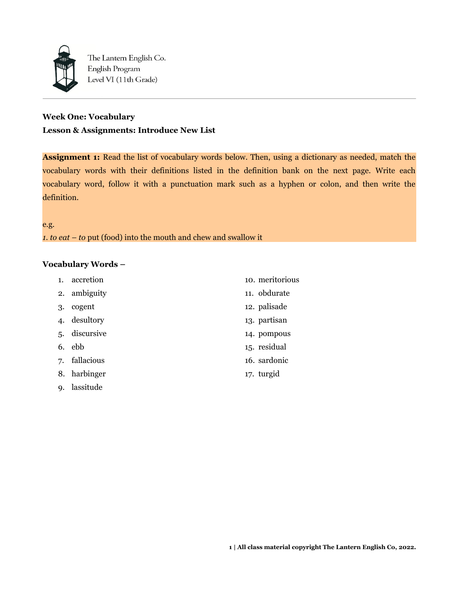

The Lantern English Co. English Program Level VI (11th Grade)

# **Week One: Vocabulary Lesson & Assignments: Introduce New List**

**Assignment 1:** Read the list of vocabulary words below. Then, using a dictionary as needed, match the vocabulary words with their definitions listed in the definition bank on the next page. Write each vocabulary word, follow it with a punctuation mark such as a hyphen or colon, and then write the definition.

e.g.

*1. to eat – to* put (food) into the mouth and chew and swallow it

## **Vocabulary Words –**

| $\mathbf{1}$ . | accretion  | 10. meritorious |
|----------------|------------|-----------------|
| 2.             | ambiguity  | 11. obdurate    |
| 3.             | cogent     | 12. palisade    |
| $\mathbf{4}$   | desultory  | 13. partisan    |
| 5.             | discursive | 14. pompous     |
| 6.             | ebb        | 15. residual    |
| 7.             | fallacious | 16. sardonic    |
| 8.             | harbinger  | 17. turgid      |
| 9.             | lassitude  |                 |
|                |            |                 |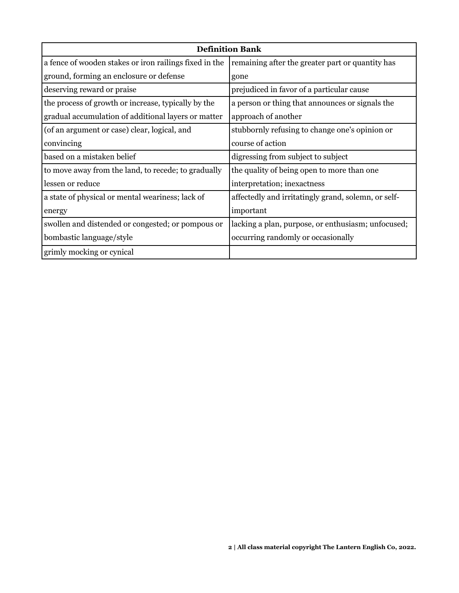| <b>Definition Bank</b>                                 |                                                     |  |  |
|--------------------------------------------------------|-----------------------------------------------------|--|--|
| a fence of wooden stakes or iron railings fixed in the | remaining after the greater part or quantity has    |  |  |
| ground, forming an enclosure or defense                | gone                                                |  |  |
| deserving reward or praise                             | prejudiced in favor of a particular cause           |  |  |
| the process of growth or increase, typically by the    | a person or thing that announces or signals the     |  |  |
| gradual accumulation of additional layers or matter    | approach of another                                 |  |  |
| (of an argument or case) clear, logical, and           | stubbornly refusing to change one's opinion or      |  |  |
| convincing                                             | course of action                                    |  |  |
| based on a mistaken belief                             | digressing from subject to subject                  |  |  |
| to move away from the land, to recede; to gradually    | the quality of being open to more than one          |  |  |
| llessen or reduce                                      | interpretation; inexactness                         |  |  |
| a state of physical or mental weariness; lack of       | affectedly and irritatingly grand, solemn, or self- |  |  |
| energy                                                 | important                                           |  |  |
| swollen and distended or congested; or pompous or      | lacking a plan, purpose, or enthusiasm; unfocused;  |  |  |
| bombastic language/style                               | occurring randomly or occasionally                  |  |  |
| grimly mocking or cynical                              |                                                     |  |  |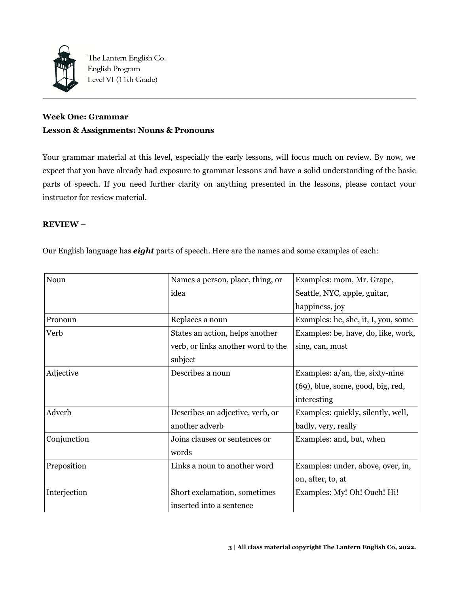

The Lantern English Co. English Program Level VI (11th Grade)

# **Week One: Grammar Lesson & Assignments: Nouns & Pronouns**

Your grammar material at this level, especially the early lessons, will focus much on review. By now, we expect that you have already had exposure to grammar lessons and have a solid understanding of the basic parts of speech. If you need further clarity on anything presented in the lessons, please contact your instructor for review material.

## **REVIEW –**

Our English language has *eight* parts of speech. Here are the names and some examples of each:

| Noun         | Names a person, place, thing, or   | Examples: mom, Mr. Grape,           |
|--------------|------------------------------------|-------------------------------------|
|              | idea                               | Seattle, NYC, apple, guitar,        |
|              |                                    | happiness, joy                      |
| Pronoun      | Replaces a noun                    | Examples: he, she, it, I, you, some |
| Verb         | States an action, helps another    | Examples: be, have, do, like, work, |
|              | verb, or links another word to the | sing, can, must                     |
|              | subject                            |                                     |
| Adjective    | Describes a noun                   | Examples: $a/an$ , the, sixty-nine  |
|              |                                    | (69), blue, some, good, big, red,   |
|              |                                    | interesting                         |
| Adverb       | Describes an adjective, verb, or   | Examples: quickly, silently, well,  |
|              | another adverb                     | badly, very, really                 |
| Conjunction  | Joins clauses or sentences or      | Examples: and, but, when            |
|              | words                              |                                     |
| Preposition  | Links a noun to another word       | Examples: under, above, over, in,   |
|              |                                    | on, after, to, at                   |
| Interjection | Short exclamation, sometimes       | Examples: My! Oh! Ouch! Hi!         |
|              | inserted into a sentence           |                                     |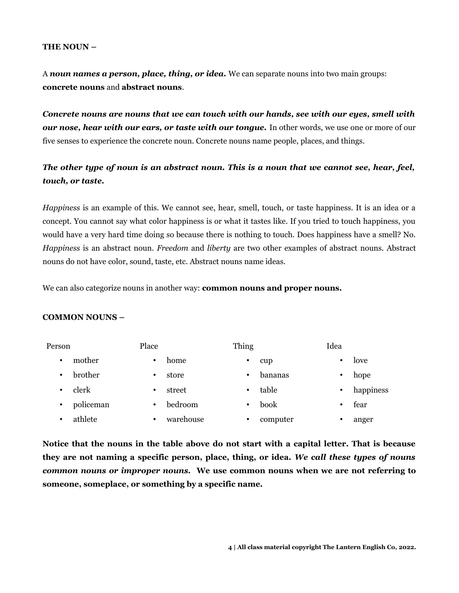#### **THE NOUN –**

A *noun names a person, place, thing, or idea.* We can separate nouns into two main groups: **concrete nouns** and **abstract nouns**.

*Concrete nouns are nouns that we can touch with our hands, see with our eyes, smell with our nose, hear with our ears, or taste with our tongue.* In other words, we use one or more of our five senses to experience the concrete noun. Concrete nouns name people, places, and things.

# *The other type of noun is an abstract noun. This is a noun that we cannot see, hear, feel, touch, or taste.*

*Happiness* is an example of this. We cannot see, hear, smell, touch, or taste happiness. It is an idea or a concept. You cannot say what color happiness is or what it tastes like. If you tried to touch happiness, you would have a very hard time doing so because there is nothing to touch. Does happiness have a smell? No. *Happiness* is an abstract noun. *Freedom* and *liberty* are two other examples of abstract nouns. Abstract nouns do not have color, sound, taste, etc. Abstract nouns name ideas.

We can also categorize nouns in another way: **common nouns and proper nouns.**

#### **COMMON NOUNS –**

| Person |           | Place |           | Thing |          | Idea      |           |
|--------|-----------|-------|-----------|-------|----------|-----------|-----------|
| ٠      | mother    | ٠     | home      | ٠     | cup      | $\bullet$ | love      |
| ٠      | brother   | ٠     | store     | ٠     | bananas  | $\bullet$ | hope      |
| ٠      | clerk     | ٠     | street    | ٠     | table    | $\bullet$ | happiness |
| ٠      | policeman | ٠     | bedroom   | ٠     | book     | ٠         | fear      |
| ٠      | athlete   | ٠     | warehouse | ٠     | computer | ٠         | anger     |

**Notice that the nouns in the table above do not start with a capital letter. That is because they are not naming a specific person, place, thing, or idea.** *We call these types of nouns common nouns or improper nouns.* **We use common nouns when we are not referring to someone, someplace, or something by a specific name.**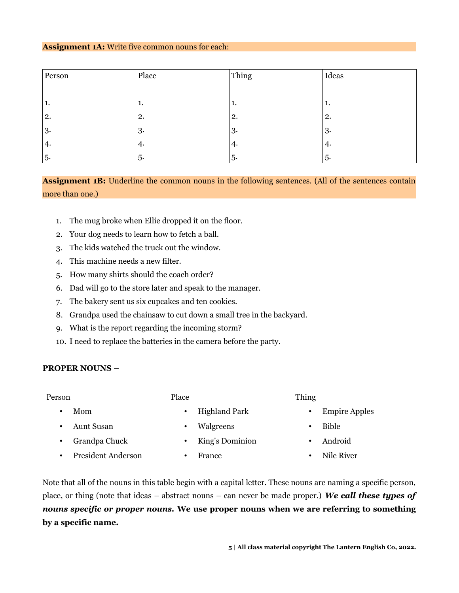#### **Assignment 1A:** Write five common nouns for each:

| Person | Place | Thing | Ideas |
|--------|-------|-------|-------|
|        |       |       |       |
| 1.     | T.    | ı.    | 1.    |
| 2.     | 2.    | 2.    | 2.    |
| 3.     | 3.    | 3.    | 3.    |
| 4.     | 4.    | 4.    | 4.    |
| 5.     | 5.    | 5.    | 5.    |

Assignment 1B: Underline the common nouns in the following sentences. (All of the sentences contain more than one.)

- 1. The mug broke when Ellie dropped it on the floor.
- 2. Your dog needs to learn how to fetch a ball.
- 3. The kids watched the truck out the window.
- 4. This machine needs a new filter.
- 5. How many shirts should the coach order?
- 6. Dad will go to the store later and speak to the manager.
- 7. The bakery sent us six cupcakes and ten cookies.
- 8. Grandpa used the chainsaw to cut down a small tree in the backyard.

Place

- 9. What is the report regarding the incoming storm?
- 10. I need to replace the batteries in the camera before the party.

#### **PROPER NOUNS –**

#### Person

• Mom

- Highland Park
- Thing

• Aunt Susan

- Walgreens
- Grandpa Chuck
- President Anderson
	- France
- Empire Apples
- Bible
- Android
- Nile River

Note that all of the nouns in this table begin with a capital letter. These nouns are naming a specific person, place, or thing (note that ideas – abstract nouns – can never be made proper.) *We call these types of nouns specific or proper nouns.* **We use proper nouns when we are referring to something by a specific name.**

• King's Dominion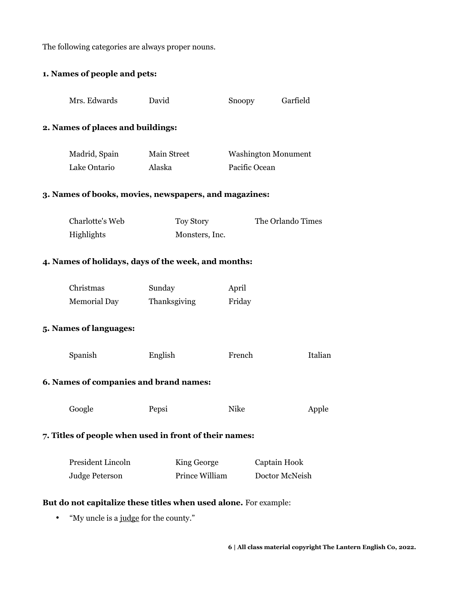The following categories are always proper nouns.

# **1. Names of people and pets:**

| Mrs. Edwards                                                     | David                       | Snoopy        | Garfield                   |         |
|------------------------------------------------------------------|-----------------------------|---------------|----------------------------|---------|
| 2. Names of places and buildings:                                |                             |               |                            |         |
| Madrid, Spain                                                    | Main Street                 |               | <b>Washington Monument</b> |         |
| Lake Ontario                                                     | Alaska                      | Pacific Ocean |                            |         |
| 3. Names of books, movies, newspapers, and magazines:            |                             |               |                            |         |
| Charlotte's Web<br>Highlights                                    | Toy Story<br>Monsters, Inc. |               | The Orlando Times          |         |
| 4. Names of holidays, days of the week, and months:              |                             |               |                            |         |
| Christmas                                                        | Sunday                      | April         |                            |         |
| Memorial Day                                                     | Thanksgiving                | Friday        |                            |         |
| 5. Names of languages:                                           |                             |               |                            |         |
| Spanish                                                          | English                     | French        |                            | Italian |
| 6. Names of companies and brand names:                           |                             |               |                            |         |
| Google                                                           | Pepsi                       | Nike          |                            | Apple   |
| 7. Titles of people when used in front of their names:           |                             |               |                            |         |
| President Lincoln                                                | King George                 |               | Captain Hook               |         |
| <b>Judge Peterson</b>                                            | Prince William              |               | Doctor McNeish             |         |
| But do not capitalize these titles when used alone. For example: |                             |               |                            |         |
| "My uncle is a judge for the county."                            |                             |               |                            |         |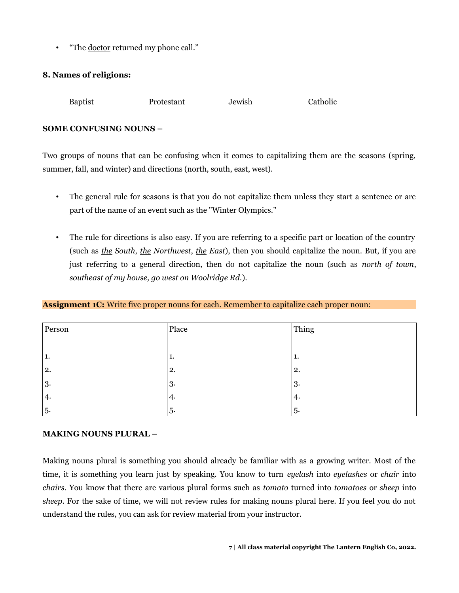• "The doctor returned my phone call."

## **8. Names of religions:**

Baptist Protestant Jewish Catholic

## **SOME CONFUSING NOUNS –**

Two groups of nouns that can be confusing when it comes to capitalizing them are the seasons (spring, summer, fall, and winter) and directions (north, south, east, west).

- The general rule for seasons is that you do not capitalize them unless they start a sentence or are part of the name of an event such as the "Winter Olympics."
- The rule for directions is also easy. If you are referring to a specific part or location of the country (such as *the South*, *the Northwest*, *the East*), then you should capitalize the noun. But, if you are just referring to a general direction, then do not capitalize the noun (such as *north of town*, *southeast of my house, go west on Woolridge Rd.*).

#### **Assignment 1C:** Write five proper nouns for each. Remember to capitalize each proper noun:

| Person | Place | Thing |
|--------|-------|-------|
|        |       |       |
| 1.     | 1.    | T.    |
| 2.     | 2.    | 2.    |
| 3.     | 3.    | 3.    |
| 4.     | 4.    | 4.    |
| 5.     | 5.    | 5.    |

#### **MAKING NOUNS PLURAL –**

Making nouns plural is something you should already be familiar with as a growing writer. Most of the time, it is something you learn just by speaking. You know to turn *eyelash* into *eyelashes* or *chair* into *chairs.* You know that there are various plural forms such as *tomato* turned into *tomatoes* or *sheep* into *sheep.* For the sake of time, we will not review rules for making nouns plural here. If you feel you do not understand the rules, you can ask for review material from your instructor.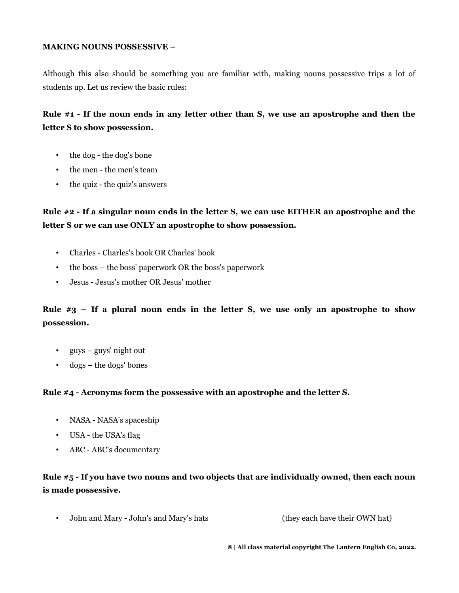## **MAKING NOUNS POSSESSIVE –**

Although this also should be something you are familiar with, making nouns possessive trips a lot of students up. Let us review the basic rules:

# **Rule #1 - If the noun ends in any letter other than S, we use an apostrophe and then the letter S to show possession.**

- the dog the dog's bone
- the men the men's team
- the quiz the quiz's answers

# **Rule #2 - If a singular noun ends in the letter S, we can use EITHER an apostrophe and the letter S or we can use ONLY an apostrophe to show possession.**

- Charles Charles's book OR Charles' book
- the boss the boss' paperwork OR the boss's paperwork
- Jesus Jesus's mother OR Jesus' mother

# **Rule #3 – If a plural noun ends in the letter S, we use only an apostrophe to show possession.**

- guys guys' night out
- dogs the dogs' bones

## **Rule #4 - Acronyms form the possessive with an apostrophe and the letter S.**

- NASA NASA's spaceship
- USA the USA's flag
- ABC ABC's documentary

# **Rule #5 - If you have two nouns and two objects that are individually owned, then each noun is made possessive.**

• John and Mary - John's and Mary's hats (they each have their OWN hat)

**8 | All class material copyright The Lantern English Co, 2022.**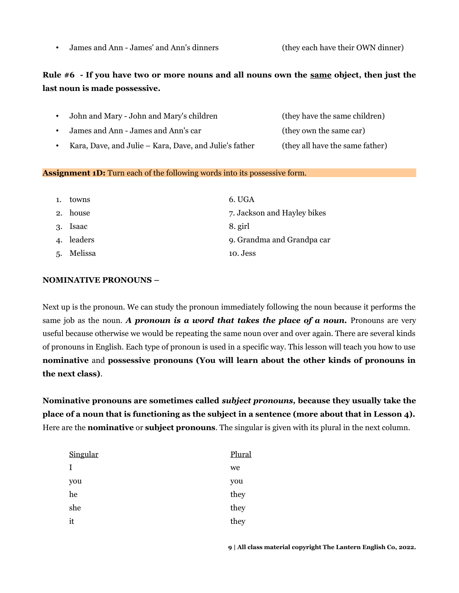• James and Ann - James' and Ann's dinners (they each have their OWN dinner)

# **Rule #6 - If you have two or more nouns and all nouns own the same object, then just the last noun is made possessive.**

|  | John and Mary - John and Mary's children | (they have the same children) |
|--|------------------------------------------|-------------------------------|
|--|------------------------------------------|-------------------------------|

- James and Ann James and Ann's car (they own the same car)
- Kara, Dave, and Julie Kara, Dave, and Julie's father (they all have the same father)

## **Assignment 1D:** Turn each of the following words into its possessive form.

| 1.           | towns      | 6. UGA                      |
|--------------|------------|-----------------------------|
| 2.           | house      | 7. Jackson and Hayley bikes |
| 3.           | Isaac      | 8. girl                     |
| $\mathbf{4}$ | leaders    | 9. Grandma and Grandpa car  |
|              | 5. Melissa | 10. Jess                    |

## **NOMINATIVE PRONOUNS –**

Next up is the pronoun. We can study the pronoun immediately following the noun because it performs the same job as the noun. *A pronoun is a word that takes the place of a noun*. Pronouns are very useful because otherwise we would be repeating the same noun over and over again. There are several kinds of pronouns in English. Each type of pronoun is used in a specific way. This lesson will teach you how to use **nominative** and **possessive pronouns (You will learn about the other kinds of pronouns in the next class)**.

**Nominative pronouns are sometimes called** *subject pronouns,* **because they usually take the place of a noun that is functioning as the subject in a sentence (more about that in Lesson 4).** Here are the **nominative** or **subject pronouns**. The singular is given with its plural in the next column.

| Singular | Plural |
|----------|--------|
| I        | we     |
| you      | you    |
| he       | they   |
| she      | they   |
| it       | they   |
|          |        |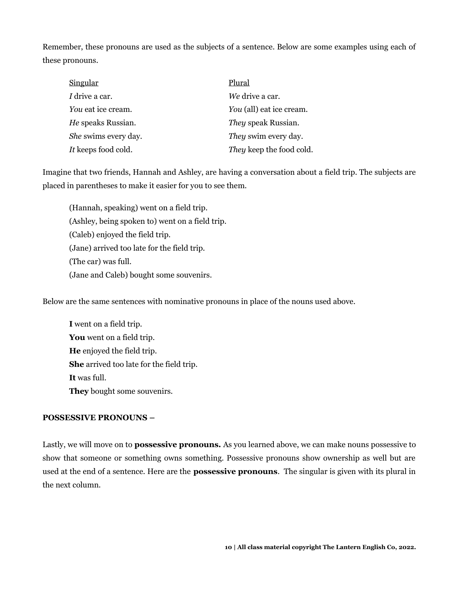Remember, these pronouns are used as the subjects of a sentence. Below are some examples using each of these pronouns.

| <u>Singular</u>      | Plural                     |
|----------------------|----------------------------|
| I drive a car.       | We drive a car.            |
| You eat ice cream.   | You (all) eat ice cream.   |
| He speaks Russian.   | <i>They</i> speak Russian. |
| She swims every day. | They swim every day.       |
| It keeps food cold.  | They keep the food cold.   |

Imagine that two friends, Hannah and Ashley, are having a conversation about a field trip. The subjects are placed in parentheses to make it easier for you to see them.

(Hannah, speaking) went on a field trip. (Ashley, being spoken to) went on a field trip. (Caleb) enjoyed the field trip. (Jane) arrived too late for the field trip. (The car) was full. (Jane and Caleb) bought some souvenirs.

Below are the same sentences with nominative pronouns in place of the nouns used above.

**I** went on a field trip. **You** went on a field trip. **He** enjoyed the field trip. **She** arrived too late for the field trip. **It** was full. **They** bought some souvenirs.

## **POSSESSIVE PRONOUNS –**

Lastly, we will move on to **possessive pronouns.** As you learned above, we can make nouns possessive to show that someone or something owns something. Possessive pronouns show ownership as well but are used at the end of a sentence. Here are the **possessive pronouns**. The singular is given with its plural in the next column.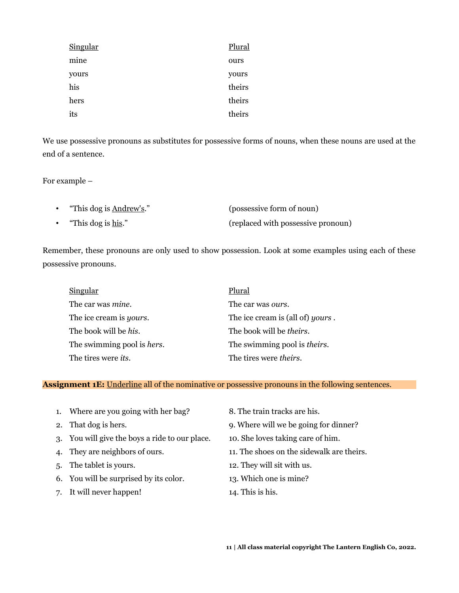| <b>Singular</b> | Plural |
|-----------------|--------|
| mine            | ours   |
| yours           | yours  |
| his             | theirs |
| hers            | theirs |
| its             | theirs |

We use possessive pronouns as substitutes for possessive forms of nouns, when these nouns are used at the end of a sentence.

For example –

| "This dog is <u>Andrew's</u> ." | (possessive form of noun)          |
|---------------------------------|------------------------------------|
| "This dog is <u>his</u> ."      | (replaced with possessive pronoun) |

Remember, these pronouns are only used to show possession. Look at some examples using each of these possessive pronouns.

| Singular                           | Plural                                   |
|------------------------------------|------------------------------------------|
| The car was <i>mine</i> .          | The car was <i>ours</i> .                |
| The ice cream is <i>yours</i> .    | The ice cream is (all of) <i>yours</i> . |
| The book will be <i>his</i> .      | The book will be <i>theirs</i> .         |
| The swimming pool is <i>hers</i> . | The swimming pool is <i>theirs</i> .     |
| The tires were <i>its</i> .        | The tires were <i>theirs</i> .           |

#### **Assignment 1E:** Underline all of the nominative or possessive pronouns in the following sentences.

- 1. Where are you going with her bag? 8. The train tracks are his.
- 
- 3. You will give the boys a ride to our place. 10. She loves taking care of him.
- 
- 
- 6. You will be surprised by its color. 13. Which one is mine?
- 7. It will never happen! 14. This is his.
- 
- 2. That dog is hers. 9. Where will we be going for dinner?
	-
- 4. They are neighbors of ours. 11. The shoes on the sidewalk are theirs.
- 5. The tablet is yours. 12. They will sit with us.
	-
	-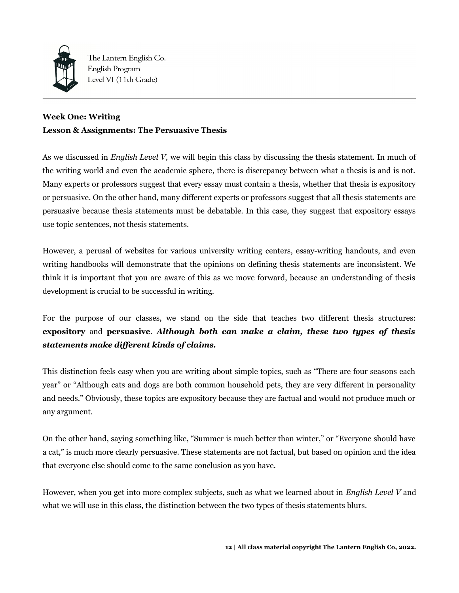

The Lantern English Co. English Program Level VI (11th Grade)

# **Week One: Writing Lesson & Assignments: The Persuasive Thesis**

As we discussed in *English Level V,* we will begin this class by discussing the thesis statement. In much of the writing world and even the academic sphere, there is discrepancy between what a thesis is and is not. Many experts or professors suggest that every essay must contain a thesis, whether that thesis is expository or persuasive. On the other hand, many different experts or professors suggest that all thesis statements are persuasive because thesis statements must be debatable. In this case, they suggest that expository essays use topic sentences, not thesis statements.

However, a perusal of websites for various university writing centers, essay-writing handouts, and even writing handbooks will demonstrate that the opinions on defining thesis statements are inconsistent. We think it is important that you are aware of this as we move forward, because an understanding of thesis development is crucial to be successful in writing.

For the purpose of our classes, we stand on the side that teaches two different thesis structures: **expository** and **persuasive**. *Although both can make a claim, these two types of thesis statements make different kinds of claims.* 

This distinction feels easy when you are writing about simple topics, such as "There are four seasons each year" or "Although cats and dogs are both common household pets, they are very different in personality and needs." Obviously, these topics are expository because they are factual and would not produce much or any argument.

On the other hand, saying something like, "Summer is much better than winter," or "Everyone should have a cat," is much more clearly persuasive. These statements are not factual, but based on opinion and the idea that everyone else should come to the same conclusion as you have.

However, when you get into more complex subjects, such as what we learned about in *English Level V* and what we will use in this class, the distinction between the two types of thesis statements blurs.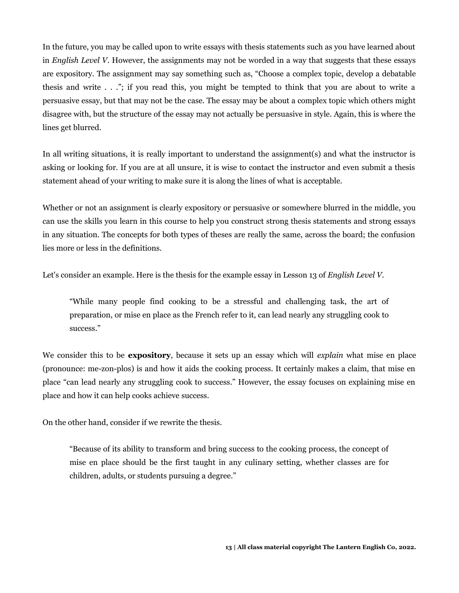In the future, you may be called upon to write essays with thesis statements such as you have learned about in *English Level V*. However, the assignments may not be worded in a way that suggests that these essays are expository. The assignment may say something such as, "Choose a complex topic, develop a debatable thesis and write . . ."; if you read this, you might be tempted to think that you are about to write a persuasive essay, but that may not be the case. The essay may be about a complex topic which others might disagree with, but the structure of the essay may not actually be persuasive in style. Again, this is where the lines get blurred.

In all writing situations, it is really important to understand the assignment(s) and what the instructor is asking or looking for. If you are at all unsure, it is wise to contact the instructor and even submit a thesis statement ahead of your writing to make sure it is along the lines of what is acceptable.

Whether or not an assignment is clearly expository or persuasive or somewhere blurred in the middle, you can use the skills you learn in this course to help you construct strong thesis statements and strong essays in any situation. The concepts for both types of theses are really the same, across the board; the confusion lies more or less in the definitions.

Let's consider an example. Here is the thesis for the example essay in Lesson 13 of *English Level V.* 

"While many people find cooking to be a stressful and challenging task, the art of preparation, or mise en place as the French refer to it, can lead nearly any struggling cook to success."

We consider this to be **expository**, because it sets up an essay which will *explain* what mise en place (pronounce: me-zon-plos) is and how it aids the cooking process. It certainly makes a claim, that mise en place "can lead nearly any struggling cook to success." However, the essay focuses on explaining mise en place and how it can help cooks achieve success.

On the other hand, consider if we rewrite the thesis.

"Because of its ability to transform and bring success to the cooking process, the concept of mise en place should be the first taught in any culinary setting, whether classes are for children, adults, or students pursuing a degree."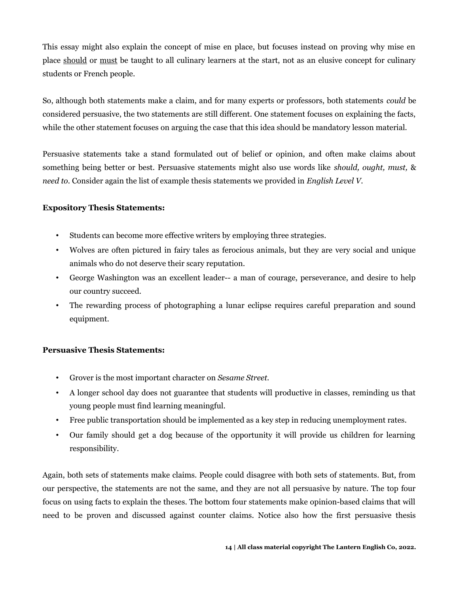This essay might also explain the concept of mise en place, but focuses instead on proving why mise en place should or must be taught to all culinary learners at the start, not as an elusive concept for culinary students or French people.

So, although both statements make a claim, and for many experts or professors, both statements *could* be considered persuasive, the two statements are still different. One statement focuses on explaining the facts, while the other statement focuses on arguing the case that this idea should be mandatory lesson material.

Persuasive statements take a stand formulated out of belief or opinion, and often make claims about something being better or best. Persuasive statements might also use words like *should, ought, must,* & *need to.* Consider again the list of example thesis statements we provided in *English Level V.* 

## **Expository Thesis Statements:**

- Students can become more effective writers by employing three strategies.
- Wolves are often pictured in fairy tales as ferocious animals, but they are very social and unique animals who do not deserve their scary reputation.
- George Washington was an excellent leader-- a man of courage, perseverance, and desire to help our country succeed.
- The rewarding process of photographing a lunar eclipse requires careful preparation and sound equipment.

#### **Persuasive Thesis Statements:**

- Grover is the most important character on *Sesame Street.*
- A longer school day does not guarantee that students will productive in classes, reminding us that young people must find learning meaningful.
- Free public transportation should be implemented as a key step in reducing unemployment rates.
- Our family should get a dog because of the opportunity it will provide us children for learning responsibility.

Again, both sets of statements make claims. People could disagree with both sets of statements. But, from our perspective, the statements are not the same, and they are not all persuasive by nature. The top four focus on using facts to explain the theses. The bottom four statements make opinion-based claims that will need to be proven and discussed against counter claims. Notice also how the first persuasive thesis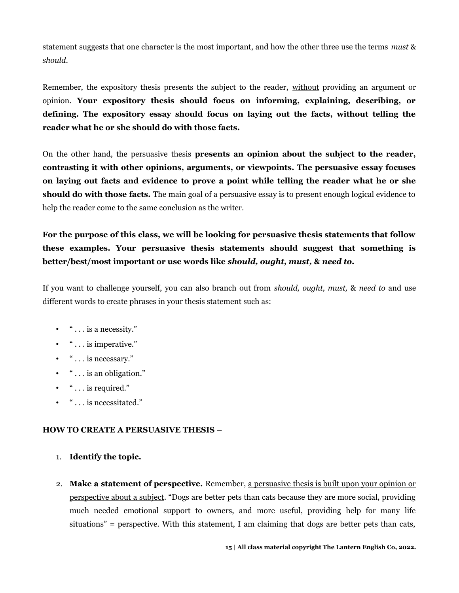statement suggests that one character is the most important, and how the other three use the terms *must* & *should*.

Remember, the expository thesis presents the subject to the reader, without providing an argument or opinion. **Your expository thesis should focus on informing, explaining, describing, or defining. The expository essay should focus on laying out the facts, without telling the reader what he or she should do with those facts.**

On the other hand, the persuasive thesis **presents an opinion about the subject to the reader, contrasting it with other opinions, arguments, or viewpoints. The persuasive essay focuses on laying out facts and evidence to prove a point while telling the reader what he or she should do with those facts.** The main goal of a persuasive essay is to present enough logical evidence to help the reader come to the same conclusion as the writer.

**For the purpose of this class, we will be looking for persuasive thesis statements that follow these examples. Your persuasive thesis statements should suggest that something is better/best/most important or use words like** *should, ought, must,* **&** *need to.* 

If you want to challenge yourself, you can also branch out from *should, ought, must,* & *need to* and use different words to create phrases in your thesis statement such as:

- $\bullet$  "  $\dots$  is a necessity."
- $\bullet$  "  $\dots$  is imperative."
- $\bullet$  "  $\dots$  is necessary."
- $\bullet$  "  $\dots$  is an obligation."
- $\bullet$  "  $\dots$  is required."
- " . . . is necessitated."

## **HOW TO CREATE A PERSUASIVE THESIS –**

- 1. **Identify the topic.**
- 2. **Make a statement of perspective.** Remember, a persuasive thesis is built upon your opinion or perspective about a subject. "Dogs are better pets than cats because they are more social, providing much needed emotional support to owners, and more useful, providing help for many life situations" = perspective. With this statement, I am claiming that dogs are better pets than cats,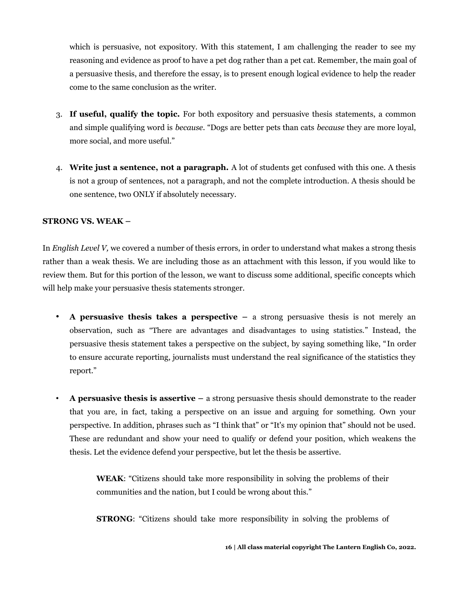which is persuasive, not expository. With this statement, I am challenging the reader to see my reasoning and evidence as proof to have a pet dog rather than a pet cat. Remember, the main goal of a persuasive thesis, and therefore the essay, is to present enough logical evidence to help the reader come to the same conclusion as the writer.

- 3. **If useful, qualify the topic.** For both expository and persuasive thesis statements, a common and simple qualifying word is *because*. "Dogs are better pets than cats *because* they are more loyal, more social, and more useful."
- 4. **Write just a sentence, not a paragraph.** A lot of students get confused with this one. A thesis is not a group of sentences, not a paragraph, and not the complete introduction. A thesis should be one sentence, two ONLY if absolutely necessary.

## **STRONG VS. WEAK –**

In *English Level V,* we covered a number of thesis errors, in order to understand what makes a strong thesis rather than a weak thesis. We are including those as an attachment with this lesson, if you would like to review them. But for this portion of the lesson, we want to discuss some additional, specific concepts which will help make your persuasive thesis statements stronger.

- **A persuasive thesis takes a perspective** a strong persuasive thesis is not merely an observation, such as "There are advantages and disadvantages to using statistics." Instead, the persuasive thesis statement takes a perspective on the subject, by saying something like, "In order to ensure accurate reporting, journalists must understand the real significance of the statistics they report."
- **A persuasive thesis is assertive –** a strong persuasive thesis should demonstrate to the reader that you are, in fact, taking a perspective on an issue and arguing for something. Own your perspective. In addition, phrases such as "I think that" or "It's my opinion that" should not be used. These are redundant and show your need to qualify or defend your position, which weakens the thesis. Let the evidence defend your perspective, but let the thesis be assertive.

**WEAK**: "Citizens should take more responsibility in solving the problems of their communities and the nation, but I could be wrong about this."

**STRONG:** "Citizens should take more responsibility in solving the problems of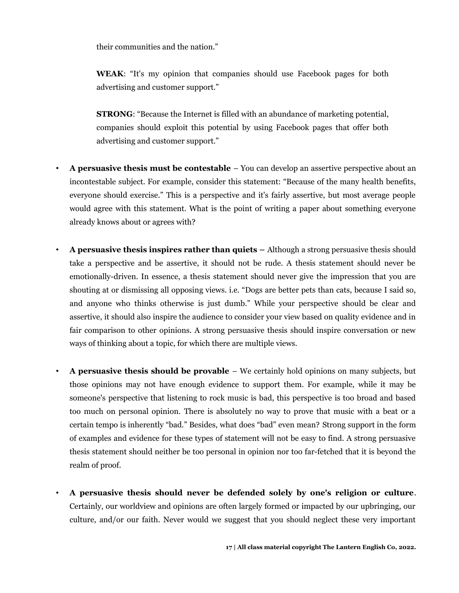their communities and the nation."

**WEAK**: "It's my opinion that companies should use Facebook pages for both advertising and customer support."

**STRONG**: "Because the Internet is filled with an abundance of marketing potential, companies should exploit this potential by using Facebook pages that offer both advertising and customer support."

- **A persuasive thesis must be contestable**  You can develop an assertive perspective about an incontestable subject. For example, consider this statement: "Because of the many health benefits, everyone should exercise." This is a perspective and it's fairly assertive, but most average people would agree with this statement. What is the point of writing a paper about something everyone already knows about or agrees with?
- **A persuasive thesis inspires rather than quiets** Although a strong persuasive thesis should take a perspective and be assertive, it should not be rude. A thesis statement should never be emotionally-driven. In essence, a thesis statement should never give the impression that you are shouting at or dismissing all opposing views. i.e. "Dogs are better pets than cats, because I said so, and anyone who thinks otherwise is just dumb." While your perspective should be clear and assertive, it should also inspire the audience to consider your view based on quality evidence and in fair comparison to other opinions. A strong persuasive thesis should inspire conversation or new ways of thinking about a topic, for which there are multiple views.
- **A persuasive thesis should be provable**  We certainly hold opinions on many subjects, but those opinions may not have enough evidence to support them. For example, while it may be someone's perspective that listening to rock music is bad, this perspective is too broad and based too much on personal opinion. There is absolutely no way to prove that music with a beat or a certain tempo is inherently "bad." Besides, what does "bad" even mean? Strong support in the form of examples and evidence for these types of statement will not be easy to find. A strong persuasive thesis statement should neither be too personal in opinion nor too far-fetched that it is beyond the realm of proof.
- **A persuasive thesis should never be defended solely by one's religion or culture**. Certainly, our worldview and opinions are often largely formed or impacted by our upbringing, our culture, and/or our faith. Never would we suggest that you should neglect these very important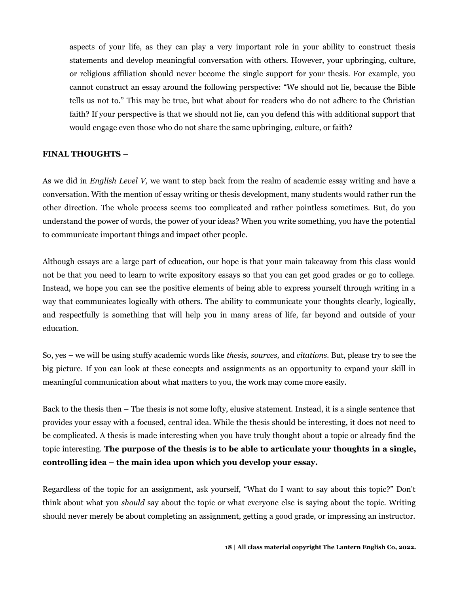aspects of your life, as they can play a very important role in your ability to construct thesis statements and develop meaningful conversation with others. However, your upbringing, culture, or religious affiliation should never become the single support for your thesis. For example, you cannot construct an essay around the following perspective: "We should not lie, because the Bible tells us not to." This may be true, but what about for readers who do not adhere to the Christian faith? If your perspective is that we should not lie, can you defend this with additional support that would engage even those who do not share the same upbringing, culture, or faith?

## **FINAL THOUGHTS –**

As we did in *English Level V,* we want to step back from the realm of academic essay writing and have a conversation. With the mention of essay writing or thesis development, many students would rather run the other direction. The whole process seems too complicated and rather pointless sometimes. But, do you understand the power of words, the power of your ideas? When you write something, you have the potential to communicate important things and impact other people.

Although essays are a large part of education, our hope is that your main takeaway from this class would not be that you need to learn to write expository essays so that you can get good grades or go to college. Instead, we hope you can see the positive elements of being able to express yourself through writing in a way that communicates logically with others. The ability to communicate your thoughts clearly, logically, and respectfully is something that will help you in many areas of life, far beyond and outside of your education.

So, yes – we will be using stuffy academic words like *thesis, sources,* and *citations.* But, please try to see the big picture. If you can look at these concepts and assignments as an opportunity to expand your skill in meaningful communication about what matters to you, the work may come more easily.

Back to the thesis then – The thesis is not some lofty, elusive statement. Instead, it is a single sentence that provides your essay with a focused, central idea. While the thesis should be interesting, it does not need to be complicated. A thesis is made interesting when you have truly thought about a topic or already find the topic interesting. **The purpose of the thesis is to be able to articulate your thoughts in a single, controlling idea – the main idea upon which you develop your essay.** 

Regardless of the topic for an assignment, ask yourself, "What do I want to say about this topic?" Don't think about what you *should* say about the topic or what everyone else is saying about the topic. Writing should never merely be about completing an assignment, getting a good grade, or impressing an instructor.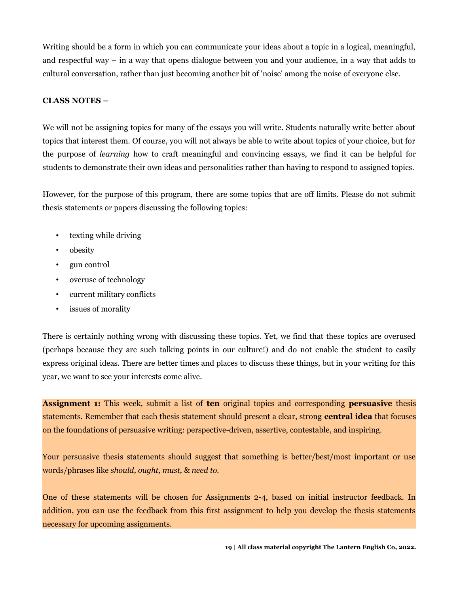Writing should be a form in which you can communicate your ideas about a topic in a logical, meaningful, and respectful way – in a way that opens dialogue between you and your audience, in a way that adds to cultural conversation, rather than just becoming another bit of 'noise' among the noise of everyone else.

## **CLASS NOTES –**

We will not be assigning topics for many of the essays you will write. Students naturally write better about topics that interest them. Of course, you will not always be able to write about topics of your choice, but for the purpose of *learning* how to craft meaningful and convincing essays, we find it can be helpful for students to demonstrate their own ideas and personalities rather than having to respond to assigned topics.

However, for the purpose of this program, there are some topics that are off limits. Please do not submit thesis statements or papers discussing the following topics:

- texting while driving
- obesity
- gun control
- overuse of technology
- current military conflicts
- issues of morality

There is certainly nothing wrong with discussing these topics. Yet, we find that these topics are overused (perhaps because they are such talking points in our culture!) and do not enable the student to easily express original ideas. There are better times and places to discuss these things, but in your writing for this year, we want to see your interests come alive.

**Assignment 1:** This week, submit a list of **ten** original topics and corresponding **persuasive** thesis statements. Remember that each thesis statement should present a clear, strong **central idea** that focuses on the foundations of persuasive writing: perspective-driven, assertive, contestable, and inspiring.

Your persuasive thesis statements should suggest that something is better/best/most important or use words/phrases like *should, ought, must,* & *need to.* 

One of these statements will be chosen for Assignments 2-4, based on initial instructor feedback. In addition, you can use the feedback from this first assignment to help you develop the thesis statements necessary for upcoming assignments.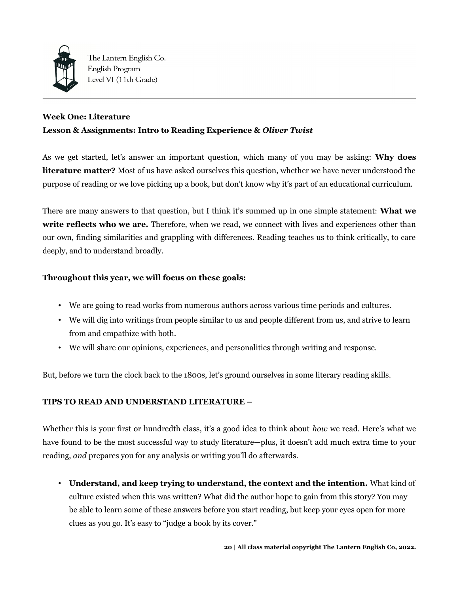

The Lantern English Co. English Program Level VI (11th Grade)

## **Week One: Literature**

## **Lesson & Assignments: Intro to Reading Experience &** *Oliver Twist*

As we get started, let's answer an important question, which many of you may be asking: **Why does literature matter?** Most of us have asked ourselves this question, whether we have never understood the purpose of reading or we love picking up a book, but don't know why it's part of an educational curriculum.

There are many answers to that question, but I think it's summed up in one simple statement: **What we write reflects who we are.** Therefore, when we read, we connect with lives and experiences other than our own, finding similarities and grappling with differences. Reading teaches us to think critically, to care deeply, and to understand broadly.

## **Throughout this year, we will focus on these goals:**

- We are going to read works from numerous authors across various time periods and cultures.
- We will dig into writings from people similar to us and people different from us, and strive to learn from and empathize with both.
- We will share our opinions, experiences, and personalities through writing and response.

But, before we turn the clock back to the 1800s, let's ground ourselves in some literary reading skills.

## **TIPS TO READ AND UNDERSTAND LITERATURE –**

Whether this is your first or hundredth class, it's a good idea to think about *how* we read. Here's what we have found to be the most successful way to study literature—plus, it doesn't add much extra time to your reading, *and* prepares you for any analysis or writing you'll do afterwards.

• **Understand, and keep trying to understand, the context and the intention.** What kind of culture existed when this was written? What did the author hope to gain from this story? You may be able to learn some of these answers before you start reading, but keep your eyes open for more clues as you go. It's easy to "judge a book by its cover."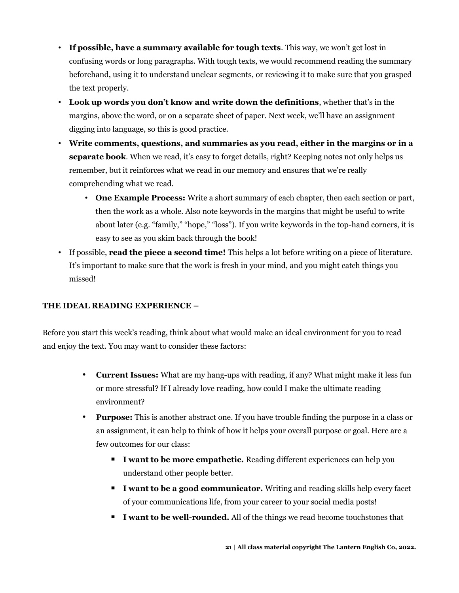- **If possible, have a summary available for tough texts**. This way, we won't get lost in confusing words or long paragraphs. With tough texts, we would recommend reading the summary beforehand, using it to understand unclear segments, or reviewing it to make sure that you grasped the text properly.
- **Look up words you don't know and write down the definitions**, whether that's in the margins, above the word, or on a separate sheet of paper. Next week, we'll have an assignment digging into language, so this is good practice.
- **Write comments, questions, and summaries as you read, either in the margins or in a separate book**. When we read, it's easy to forget details, right? Keeping notes not only helps us remember, but it reinforces what we read in our memory and ensures that we're really comprehending what we read.
	- **One Example Process:** Write a short summary of each chapter, then each section or part, then the work as a whole. Also note keywords in the margins that might be useful to write about later (e.g. "family," "hope," "loss"). If you write keywords in the top-hand corners, it is easy to see as you skim back through the book!
- If possible, **read the piece a second time!** This helps a lot before writing on a piece of literature. It's important to make sure that the work is fresh in your mind, and you might catch things you missed!

## **THE IDEAL READING EXPERIENCE –**

Before you start this week's reading, think about what would make an ideal environment for you to read and enjoy the text. You may want to consider these factors:

- **Current Issues:** What are my hang-ups with reading, if any? What might make it less fun or more stressful? If I already love reading, how could I make the ultimate reading environment?
- **Purpose:** This is another abstract one. If you have trouble finding the purpose in a class or an assignment, it can help to think of how it helps your overall purpose or goal. Here are a few outcomes for our class:
	- **I want to be more empathetic.** Reading different experiences can help you understand other people better.
	- **I want to be a good communicator.** Writing and reading skills help every facet of your communications life, from your career to your social media posts!
	- **I want to be well-rounded.** All of the things we read become touchstones that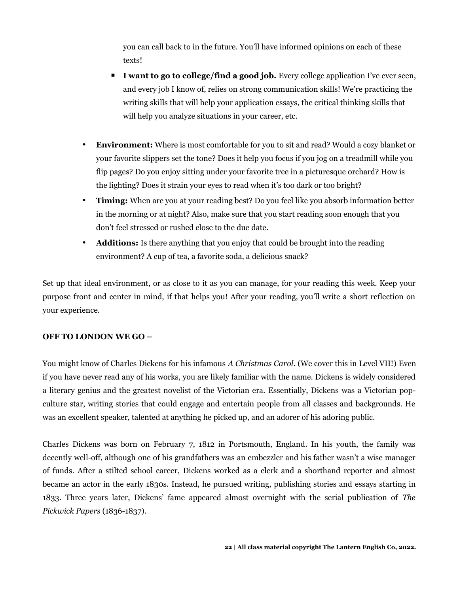you can call back to in the future. You'll have informed opinions on each of these texts!

- **I want to go to college/find a good job.** Every college application I've ever seen, and every job I know of, relies on strong communication skills! We're practicing the writing skills that will help your application essays, the critical thinking skills that will help you analyze situations in your career, etc.
- **Environment:** Where is most comfortable for you to sit and read? Would a cozy blanket or your favorite slippers set the tone? Does it help you focus if you jog on a treadmill while you flip pages? Do you enjoy sitting under your favorite tree in a picturesque orchard? How is the lighting? Does it strain your eyes to read when it's too dark or too bright?
- **Timing:** When are you at your reading best? Do you feel like you absorb information better in the morning or at night? Also, make sure that you start reading soon enough that you don't feel stressed or rushed close to the due date.
- **Additions:** Is there anything that you enjoy that could be brought into the reading environment? A cup of tea, a favorite soda, a delicious snack?

Set up that ideal environment, or as close to it as you can manage, for your reading this week. Keep your purpose front and center in mind, if that helps you! After your reading, you'll write a short reflection on your experience.

## **OFF TO LONDON WE GO –**

You might know of Charles Dickens for his infamous *A Christmas Carol.* (We cover this in Level VII!) Even if you have never read any of his works, you are likely familiar with the name. Dickens is widely considered a literary genius and the greatest novelist of the Victorian era. Essentially, Dickens was a Victorian popculture star, writing stories that could engage and entertain people from all classes and backgrounds. He was an excellent speaker, talented at anything he picked up, and an adorer of his adoring public.

Charles Dickens was born on February 7, 1812 in Portsmouth, England. In his youth, the family was decently well-off, although one of his grandfathers was an embezzler and his father wasn't a wise manager of funds. After a stilted school career, Dickens worked as a clerk and a shorthand reporter and almost became an actor in the early 1830s. Instead, he pursued writing, publishing stories and essays starting in 1833. Three years later, Dickens' fame appeared almost overnight with the serial publication of *The Pickwick Papers* (1836-1837).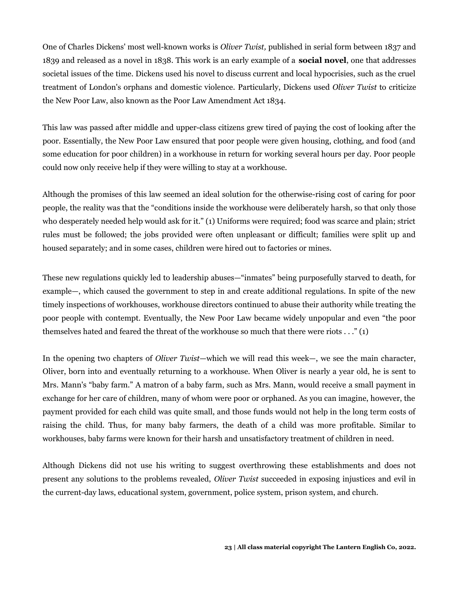One of Charles Dickens' most well-known works is *Oliver Twist,* published in serial form between 1837 and 1839 and released as a novel in 1838. This work is an early example of a **social novel**, one that addresses societal issues of the time. Dickens used his novel to discuss current and local hypocrisies, such as the cruel treatment of London's orphans and domestic violence. Particularly, Dickens used *Oliver Twist* to criticize the New Poor Law, also known as the Poor Law Amendment Act 1834.

This law was passed after middle and upper-class citizens grew tired of paying the cost of looking after the poor. Essentially, the New Poor Law ensured that poor people were given housing, clothing, and food (and some education for poor children) in a workhouse in return for working several hours per day. Poor people could now only receive help if they were willing to stay at a workhouse.

Although the promises of this law seemed an ideal solution for the otherwise-rising cost of caring for poor people, the reality was that the "conditions inside the workhouse were deliberately harsh, so that only those who desperately needed help would ask for it." (1) Uniforms were required; food was scarce and plain; strict rules must be followed; the jobs provided were often unpleasant or difficult; families were split up and housed separately; and in some cases, children were hired out to factories or mines.

These new regulations quickly led to leadership abuses—"inmates" being purposefully starved to death, for example—, which caused the government to step in and create additional regulations. In spite of the new timely inspections of workhouses, workhouse directors continued to abuse their authority while treating the poor people with contempt. Eventually, the New Poor Law became widely unpopular and even "the poor themselves hated and feared the threat of the workhouse so much that there were riots . . ." (1)

In the opening two chapters of *Oliver Twist*—which we will read this week—, we see the main character, Oliver, born into and eventually returning to a workhouse. When Oliver is nearly a year old, he is sent to Mrs. Mann's "baby farm." A matron of a baby farm, such as Mrs. Mann, would receive a small payment in exchange for her care of children, many of whom were poor or orphaned. As you can imagine, however, the payment provided for each child was quite small, and those funds would not help in the long term costs of raising the child. Thus, for many baby farmers, the death of a child was more profitable. Similar to workhouses, baby farms were known for their harsh and unsatisfactory treatment of children in need.

Although Dickens did not use his writing to suggest overthrowing these establishments and does not present any solutions to the problems revealed, *Oliver Twist* succeeded in exposing injustices and evil in the current-day laws, educational system, government, police system, prison system, and church.